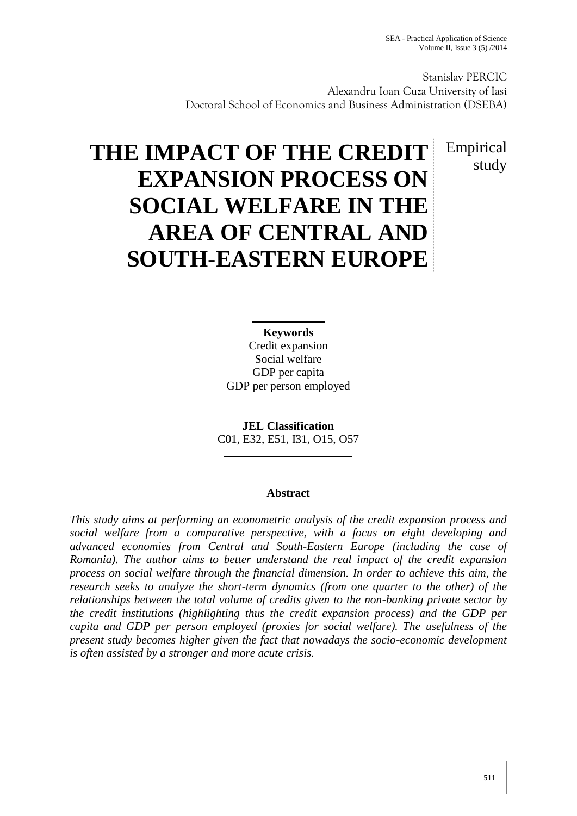Stanislav PERCIC Alexandru Ioan Cuza University of Iasi Doctoral School of Economics and Business Administration (DSEBA)

> Empirical study

# **THE IMPACT OF THE CREDIT EXPANSION PROCESS ON SOCIAL WELFARE IN THE AREA OF CENTRAL AND SOUTH-EASTERN EUROPE**

**Keywords** Credit expansion Social welfare GDP per capita GDP per person employed

**JEL Classification** C01, E32, E51, I31, O15, O57

#### **Abstract**

*This study aims at performing an econometric analysis of the credit expansion process and social welfare from a comparative perspective, with a focus on eight developing and advanced economies from Central and South-Eastern Europe (including the case of Romania). The author aims to better understand the real impact of the credit expansion process on social welfare through the financial dimension. In order to achieve this aim, the research seeks to analyze the short-term dynamics (from one quarter to the other) of the relationships between the total volume of credits given to the non-banking private sector by the credit institutions (highlighting thus the credit expansion process) and the GDP per capita and GDP per person employed (proxies for social welfare). The usefulness of the present study becomes higher given the fact that nowadays the socio-economic development is often assisted by a stronger and more acute crisis.*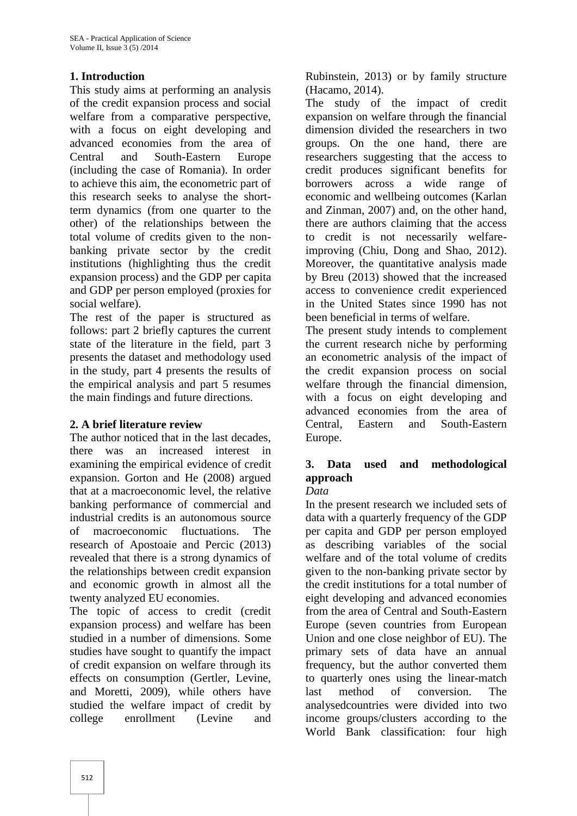### **1. Introduction**

This study aims at performing an analysis of the credit expansion process and social welfare from a comparative perspective, with a focus on eight developing and advanced economies from the area of Central and South-Eastern Europe (including the case of Romania). In order to achieve this aim, the econometric part of this research seeks to analyse the shortterm dynamics (from one quarter to the other) of the relationships between the total volume of credits given to the non banking private sector by the credit institutions (highlighting thus the credit expansion process) and the GDP per capita and GDP per person employed (proxies for social welfare).

The rest of the paper is structured as follows: part 2 briefly captures the current state of the literature in the field, part 3 presents the dataset and methodology used in the study, part 4 presents the results of the empirical analysis and part 5 resumes the main findings and future directions.

#### **2. A brief literature review**

The author noticed that in the last decades, there was an increased interest in examining the empirical evidence of credit expansion. Gorton and He (2008) argued that at a macroeconomic level, the relative banking performance of commercial and industrial credits is an autonomous source of macroeconomic fluctuations. The research of Apostoaie and Percic (2013) revealed that there is a strong dynamics of the relationships between credit expansion and economic growth in almost all the twenty analyzed EU economies.

The topic of access to credit (credit expansion process) and welfare has been studied in a number of dimensions. Some studies have sought to quantify the impact of credit expansion on welfare through its effects on consumption (Gertler, Levine, and Moretti, 2009), while others have studied the welfare impact of credit by college enrollment (Levine and

Rubinstein, 2013) or by family structure (Hacamo, 2014).

The study of the impact of credit expansion on welfare through the financial dimension divided the researchers in two groups. On the one hand, there are researchers suggesting that the access to credit produces significant benefits for borrowers across a wide range of economic and wellbeing outcomes (Karlan and Zinman, 2007) and, on the other hand, there are authors claiming that the access to credit is not necessarily welfareimproving (Chiu, Dong and Shao, 2012). Moreover, the quantitative analysis made by Breu (2013) showed that the increased access to convenience credit experienced in the United States since 1990 has not been beneficial in terms of welfare.

The present study intends to complement the current research niche by performing an econometric analysis of the impact of the credit expansion process on social welfare through the financial dimension, with a focus on eight developing and advanced economies from the area of Central, Eastern and South-Eastern Europe.

## **3. Data used and methodological approach**

#### *Data*

In the present research we included sets of data with a quarterly frequency of the GDP per capita and GDP per person employed as describing variables of the social welfare and of the total volume of credits given to the non-banking private sector by the credit institutions for a total number of eight developing and advanced economies from the area of Central and South-Eastern Europe (seven countries from European Union and one close neighbor of EU). The primary sets of data have an annual frequency, but the author converted them to quarterly ones using the linear-match method of conversion. The analysedcountries were divided into two income groups/clusters according to the World Bank classification: four high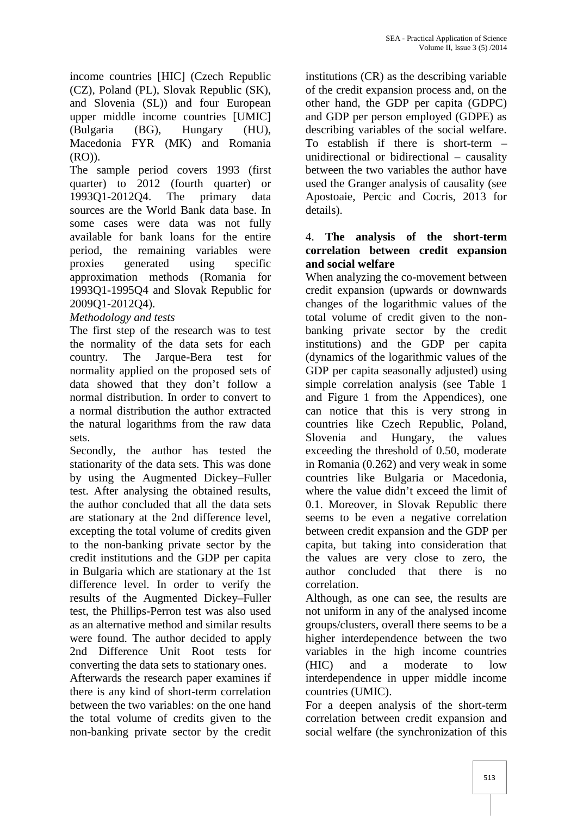income countries [HIC] (Czech Republic (CZ), Poland (PL), Slovak Republic (SK), and Slovenia (SL)) and four European upper middle income countries [UMIC] (Bulgaria (BG), Hungary (HU), Macedonia FYR (MK) and Romania (RO)).

The sample period covers 1993 (first quarter) to 2012 (fourth quarter) or 1993Q1-2012Q4. The primary data sources are the World Bank data base. In some cases were data was not fully available for bank loans for the entire period, the remaining variables were proxies generated using specific approximation methods (Romania for 1993Q1-1995Q4 and Slovak Republic for 2009Q1-2012Q4).

#### *Methodology and tests*

The first step of the research was to test the normality of the data sets for each country. The Jarque-Bera test for normality applied on the proposed sets of data showed that they don't follow a normal distribution. In order to convert to a normal distribution the author extracted the natural logarithms from the raw data sets.

Secondly, the author has tested the stationarity of the data sets. This was done by using the Augmented Dickey–Fuller test. After analysing the obtained results, the author concluded that all the data sets are stationary at the 2nd difference level, excepting the total volume of credits given to the non-banking private sector by the credit institutions and the GDP per capita in Bulgaria which are stationary at the 1st difference level. In order to verify the results of the Augmented Dickey–Fuller test, the Phillips-Perron test was also used as an alternative method and similar results were found. The author decided to apply 2nd Difference Unit Root tests for converting the data sets to stationary ones.

Afterwards the research paper examines if there is any kind of short-term correlation between the two variables: on the one hand the total volume of credits given to the non-banking private sector by the credit

institutions (CR) as the describing variable of the credit expansion process and, on the other hand, the GDP per capita (GDPC) and GDP per person employed (GDPE) as describing variables of the social welfare. To establish if there is short-term – unidirectional or bidirectional – causality between the two variables the author have used the Granger analysis of causality (see Apostoaie, Percic and Cocris, 2013 for details).

#### 4. **The analysis of the short-term correlation between credit expansion and social welfare**

When analyzing the co-movement between credit expansion (upwards or downwards changes of the logarithmic values of the total volume of credit given to the non banking private sector by the credit institutions) and the GDP per capita (dynamics of the logarithmic values of the GDP per capita seasonally adjusted) using simple correlation analysis (see Table 1 and Figure 1 from the Appendices), one can notice that this is very strong in countries like Czech Republic, Poland, Slovenia and Hungary, the values exceeding the threshold of 0.50, moderate in Romania (0.262) and very weak in some countries like Bulgaria or Macedonia, where the value didn't exceed the limit of 0.1. Moreover, in Slovak Republic there seems to be even a negative correlation between credit expansion and the GDP per capita, but taking into consideration that the values are very close to zero, the author concluded that there is no correlation.

Although, as one can see, the results are not uniform in any of the analysed income groups/clusters, overall there seems to be a higher interdependence between the two variables in the high income countries (HIC) and a moderate to low interdependence in upper middle income countries (UMIC).

For a deepen analysis of the short-term correlation between credit expansion and social welfare (the synchronization of this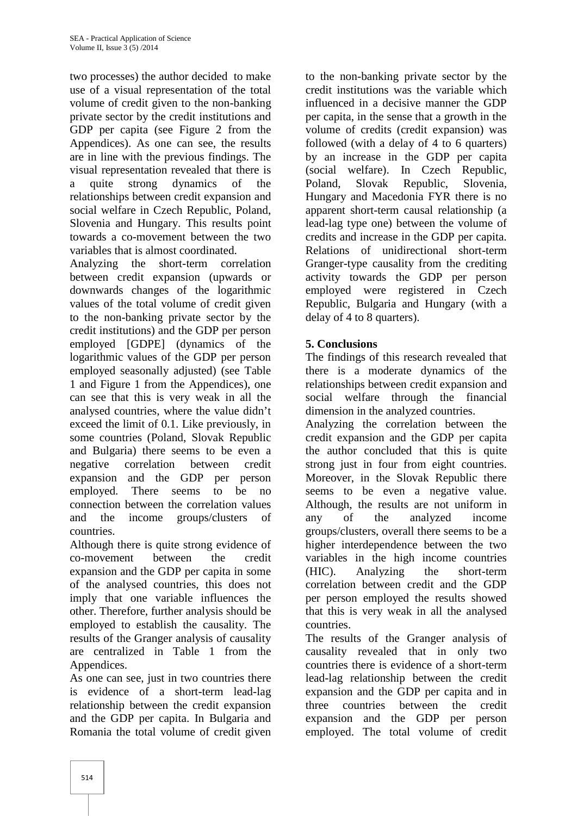two processes) the author decided to make use of a visual representation of the total volume of credit given to the non-banking private sector by the credit institutions and GDP per capita (see Figure 2 from the Appendices). As one can see, the results are in line with the previous findings. The visual representation revealed that there is a quite strong dynamics of the relationships between credit expansion and social welfare in Czech Republic, Poland, Slovenia and Hungary. This results point towards a co-movement between the two variables that is almost coordinated.

Analyzing the short-term correlation between credit expansion (upwards or downwards changes of the logarithmic values of the total volume of credit given to the non-banking private sector by the credit institutions) and the GDP per person employed [GDPE] (dynamics of the logarithmic values of the GDP per person employed seasonally adjusted) (see Table 1 and Figure 1 from the Appendices), one can see that this is very weak in all the analysed countries, where the value didn't exceed the limit of 0.1. Like previously, in some countries (Poland, Slovak Republic and Bulgaria) there seems to be even a negative correlation between credit expansion and the GDP per person employed. There seems to be no connection between the correlation values and the income groups/clusters of countries.

Although there is quite strong evidence of co-movement between the credit expansion and the GDP per capita in some (HIC). of the analysed countries, this does not imply that one variable influences the other. Therefore, further analysis should be employed to establish the causality. The results of the Granger analysis of causality are centralized in Table 1 from the Appendices.

As one can see, just in two countries there is evidence of a short-term lead-lag relationship between the credit expansion and the GDP per capita. In Bulgaria and Romania the total volume of credit given

to the non-banking private sector by the credit institutions was the variable which influenced in a decisive manner the GDP per capita, in the sense that a growth in the volume of credits (credit expansion) was followed (with a delay of 4 to 6 quarters) by an increase in the GDP per capita (social welfare). In Czech Republic, Slovak Republic, Slovenia, Hungary and Macedonia FYR there is no apparent short-term causal relationship (a lead-lag type one) between the volume of credits and increase in the GDP per capita. Relations of unidirectional short-term Granger-type causality from the crediting activity towards the GDP per person employed were registered in Czech Republic, Bulgaria and Hungary (with a delay of 4 to 8 quarters).

### **5. Conclusions**

The findings of this research revealed that there is a moderate dynamics of the relationships between credit expansion and social welfare through the financial dimension in the analyzed countries.

Analyzing the correlation between the credit expansion and the GDP per capita the author concluded that this is quite strong just in four from eight countries. Moreover, in the Slovak Republic there seems to be even a negative value. Although, the results are not uniform in any of the analyzed income groups/clusters, overall there seems to be a higher interdependence between the two variables in the high income countries Analyzing the short-term correlation between credit and the GDP per person employed the results showed that this is very weak in all the analysed countries.

The results of the Granger analysis of causality revealed that in only two countries there is evidence of a short-term lead-lag relationship between the credit expansion and the GDP per capita and in three countries between the credit expansion and the GDP per person employed. The total volume of credit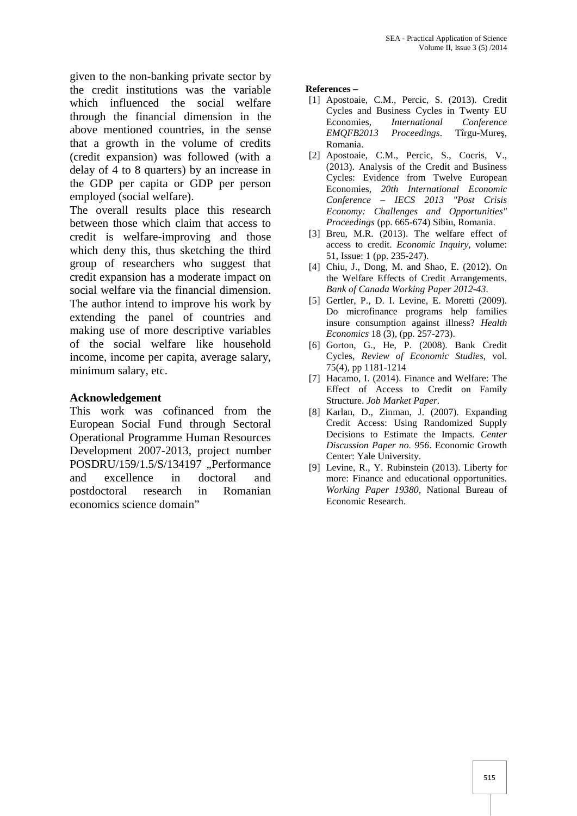given to the non-banking private sector by the credit institutions was the variable which influenced the social welfare through the financial dimension in the above mentioned countries, in the sense that a growth in the volume of credits (credit expansion) was followed (with a delay of 4 to 8 quarters) by an increase in the GDP per capita or GDP per person employed (social welfare).

The overall results place this research between those which claim that access to credit is welfare-improving and those which deny this, thus sketching the third group of researchers who suggest that credit expansion has a moderate impact on social welfare via the financial dimension. The author intend to improve his work by extending the panel of countries and making use of more descriptive variables of the social welfare like household income, income per capita, average salary, minimum salary, etc.

#### **Acknowledgement**

This work was cofinanced from the European Social Fund through Sectoral Operational Programme Human Resources Development 2007-2013, project number POSDRU/159/1.5/S/134197 "Performance and excellence in doctoral and postdoctoral research in Romanian economics science domain"

#### **References –**

- [1] Apostoaie, C.M., Percic, S. (2013). Credit Cycles and Business Cycles in Twenty EU Economies, *International Conference EMOFB2013 Proceedings.* Tîrgu-Mure, Romania.
- [2] Apostoaie, C.M., Percic, S., Cocris, V., (2013). Analysis of the Credit and Business Cycles: Evidence from Twelve European Economies, *20th International Economic Conference – IECS 2013 "Post Crisis Economy: Challenges and Opportunities" Proceedings* (pp. 665-674) Sibiu, Romania.
- [3] Breu, M.R. (2013). The welfare effect of access to credit. *Economic Inquiry*, volume: 51, Issue: 1 (pp. 235-247).
- [4] Chiu, J., Dong, M. and Shao, E. (2012). On the Welfare Effects of Credit Arrangements. *Bank of Canada Working Paper 2012-43*.
- [5] Gertler, P., D. I. Levine, E. Moretti (2009). Do microfinance programs help families insure consumption against illness? *Health Economics* 18 (3), (pp. 257-273).
- [6] Gorton, G., He, P. (2008). Bank Credit Cycles, *Review of Economic Studies*, vol. 75(4), pp 1181-1214
- [7] Hacamo, I. (2014). Finance and Welfare: The Effect of Access to Credit on Family Structure. *Job Market Paper*.
- [8] Karlan, D., Zinman, J. (2007). Expanding Credit Access: Using Randomized Supply Decisions to Estimate the Impacts. *Center Discussion Paper no. 956*. Economic Growth Center: Yale University.
- [9] Levine, R., Y. Rubinstein (2013). Liberty for more: Finance and educational opportunities. *Working Paper 19380*, National Bureau of Economic Research.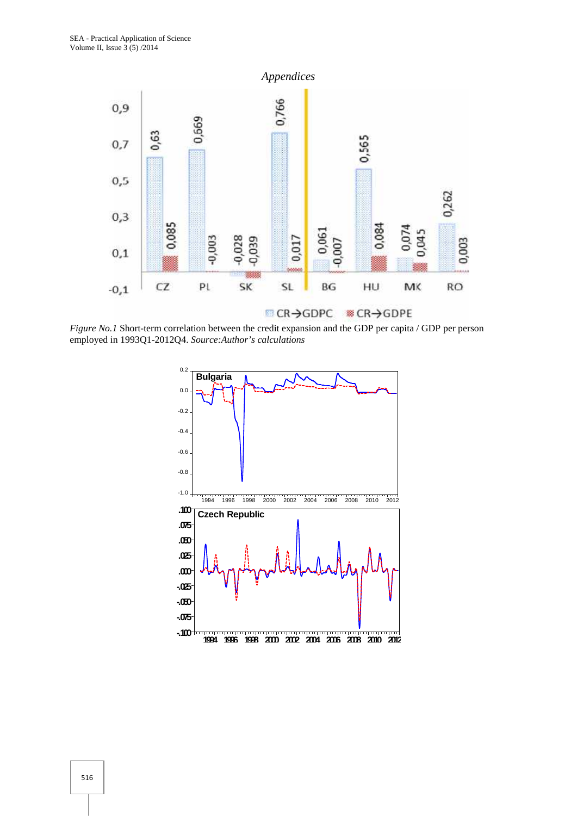

*Figure No.1* Short-term correlation between the credit expansion and the GDP per capita / GDP per person employed in 1993Q1-2012Q4. *Source:Author's calculations*

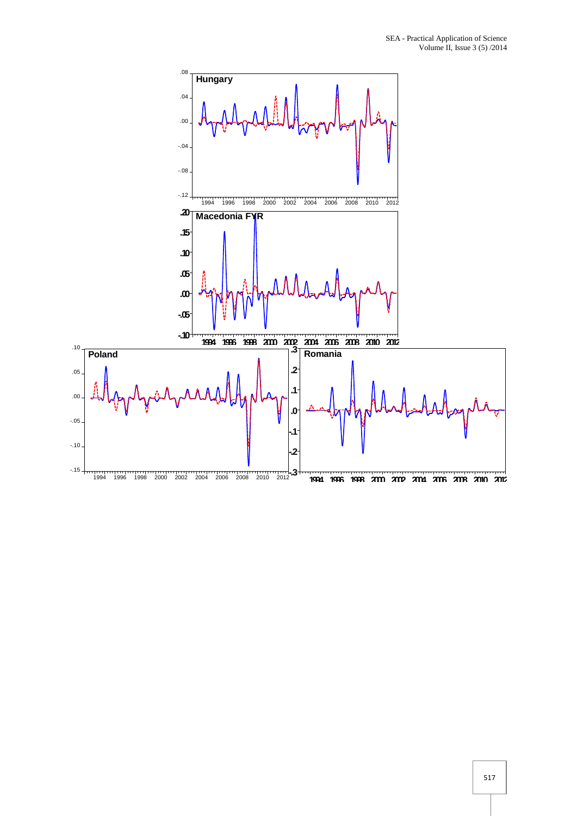